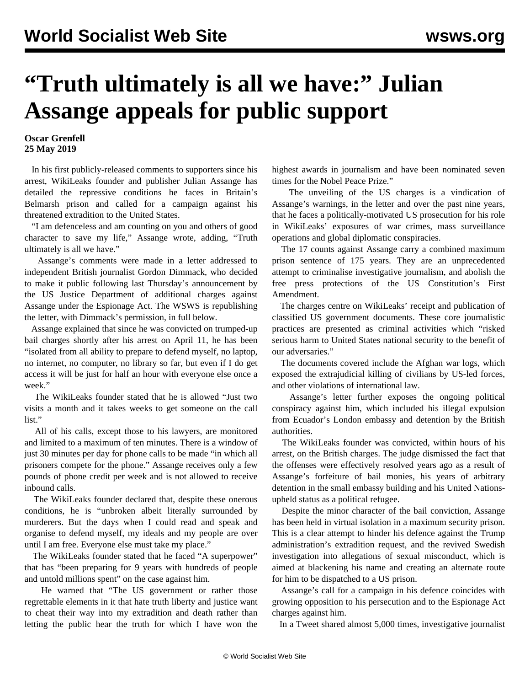## **"Truth ultimately is all we have:" Julian Assange appeals for public support**

## **Oscar Grenfell 25 May 2019**

 In his first publicly-released comments to supporters since his arrest, WikiLeaks founder and publisher Julian Assange has detailed the repressive conditions he faces in Britain's Belmarsh prison and called for a campaign against his threatened extradition to the United States.

 "I am defenceless and am counting on you and others of good character to save my life," Assange wrote, adding, "Truth ultimately is all we have."

 Assange's comments were made in a letter addressed to independent British journalist [Gordon Dimmack,](https://www.youtube.com/watch?v=Es6OT4VsQAo&feature=youtu.be) who decided to make it public following last Thursday's announcement by the US Justice Department of additional charges against Assange under the Espionage Act. The WSWS is republishing the letter, with Dimmack's permission, in full below.

 Assange explained that since he was convicted on trumped-up bail charges shortly after his arrest on April 11, he has been "isolated from all ability to prepare to defend myself, no laptop, no internet, no computer, no library so far, but even if I do get access it will be just for half an hour with everyone else once a week."

 The WikiLeaks founder stated that he is allowed "Just two visits a month and it takes weeks to get someone on the call list."

 All of his calls, except those to his lawyers, are monitored and limited to a maximum of ten minutes. There is a window of just 30 minutes per day for phone calls to be made "in which all prisoners compete for the phone." Assange receives only a few pounds of phone credit per week and is not allowed to receive inbound calls.

 The WikiLeaks founder declared that, despite these onerous conditions, he is "unbroken albeit literally surrounded by murderers. But the days when I could read and speak and organise to defend myself, my ideals and my people are over until I am free. Everyone else must take my place."

 The WikiLeaks founder stated that he faced "A superpower" that has "been preparing for 9 years with hundreds of people and untold millions spent" on the case against him.

 He warned that "The US government or rather those regrettable elements in it that hate truth liberty and justice want to cheat their way into my extradition and death rather than letting the public hear the truth for which I have won the highest awards in journalism and have been nominated seven times for the Nobel Peace Prize."

 The unveiling of the US charges is a vindication of Assange's warnings, in the letter and over the past nine years, that he faces a politically-motivated US prosecution for his role in WikiLeaks' exposures of war crimes, mass surveillance operations and global diplomatic conspiracies.

 The 17 counts against Assange carry a combined maximum prison sentence of 175 years. They are an unprecedented attempt to criminalise investigative journalism, and abolish the free press protections of the US Constitution's First Amendment.

 The charges centre on WikiLeaks' receipt and publication of classified US government documents. These core journalistic practices are presented as criminal activities which "risked serious harm to United States national security to the benefit of our adversaries."

 The documents covered include the Afghan war logs, which exposed the extrajudicial killing of civilians by US-led forces, and other violations of international law.

 Assange's letter further exposes the ongoing political conspiracy against him, which included his illegal expulsion from Ecuador's London embassy and detention by the British authorities.

 The WikiLeaks founder was convicted, within hours of his arrest, on the British charges. The judge dismissed the fact that the offenses were effectively resolved years ago as a result of Assange's forfeiture of bail monies, his years of arbitrary detention in the small embassy building and his United Nationsupheld status as a political refugee.

 Despite the minor character of the bail conviction, Assange has been held in virtual isolation in a maximum security prison. This is a clear attempt to hinder his defence against the Trump administration's extradition request, and the revived Swedish investigation into allegations of sexual misconduct, which is aimed at blackening his name and creating an alternate route for him to be dispatched to a US prison.

 Assange's call for a campaign in his defence coincides with growing opposition to his persecution and to the Espionage Act charges against him.

In a Tweet shared almost 5,000 times, investigative journalist